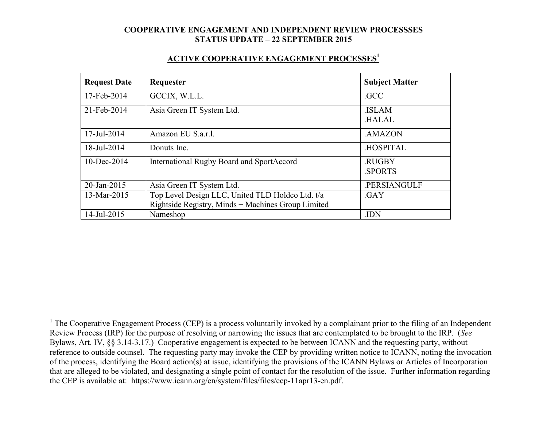#### **ACTIVE COOPERATIVE ENGAGEMENT PROCESSES1**

| <b>Request Date</b> | Requester                                                                                              | <b>Subject Matter</b>        |
|---------------------|--------------------------------------------------------------------------------------------------------|------------------------------|
| 17-Feb-2014         | GCCIX, W.L.L.                                                                                          | .GCC                         |
| 21-Feb-2014         | Asia Green IT System Ltd.                                                                              | <b>ISLAM</b><br><b>HALAL</b> |
| 17-Jul-2014         | Amazon EU S.a.r.l.                                                                                     | .AMAZON                      |
| 18-Jul-2014         | Donuts Inc.                                                                                            | <b>HOSPITAL</b>              |
| $10$ -Dec-2014      | <b>International Rugby Board and SportAccord</b>                                                       | .RUGBY<br><b>SPORTS</b>      |
| 20-Jan-2015         | Asia Green IT System Ltd.                                                                              | .PERSIANGULF                 |
| 13-Mar-2015         | Top Level Design LLC, United TLD Holdco Ltd. t/a<br>Rightside Registry, Minds + Machines Group Limited | .GAY                         |
| 14-Jul-2015         | Nameshop                                                                                               | .IDN                         |

<sup>&</sup>lt;sup>1</sup> The Cooperative Engagement Process (CEP) is a process voluntarily invoked by a complainant prior to the filing of an Independent Review Process (IRP) for the purpose of resolving or narrowing the issues that are contemplated to be brought to the IRP. (*See* Bylaws, Art. IV, §§ 3.14-3.17.) Cooperative engagement is expected to be between ICANN and the requesting party, without reference to outside counsel. The requesting party may invoke the CEP by providing written notice to ICANN, noting the invocation of the process, identifying the Board action(s) at issue, identifying the provisions of the ICANN Bylaws or Articles of Incorporation that are alleged to be violated, and designating a single point of contact for the resolution of the issue. Further information regarding the CEP is available at: https://www.icann.org/en/system/files/files/cep-11apr13-en.pdf.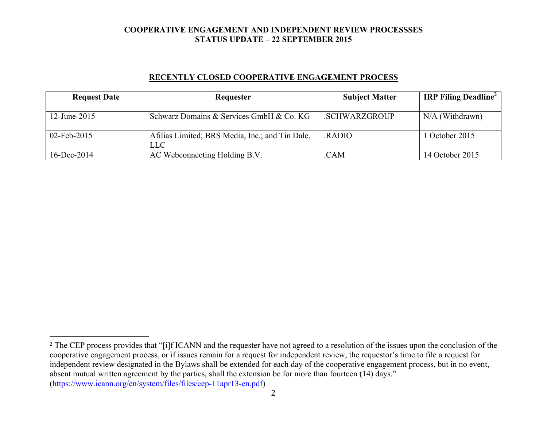## **RECENTLY CLOSED COOPERATIVE ENGAGEMENT PROCESS**

| <b>Request Date</b> | Requester                                       | <b>Subject Matter</b> | <b>IRP Filing Deadline</b> |
|---------------------|-------------------------------------------------|-----------------------|----------------------------|
|                     |                                                 |                       |                            |
| 12-June-2015        | Schwarz Domains & Services GmbH & Co. KG        | .SCHWARZGROUP         | $N/A$ (Withdrawn)          |
|                     |                                                 |                       |                            |
| 02-Feb-2015         | Afilias Limited; BRS Media, Inc.; and Tin Dale, | <b>RADIO</b>          | 1 October 2015             |
|                     | LLC                                             |                       |                            |
| $16$ -Dec-2014      | AC Webconnecting Holding B.V.                   | .CAM                  | 14 October 2015            |

 

<sup>&</sup>lt;sup>2</sup> The CEP process provides that "[i]f ICANN and the requester have not agreed to a resolution of the issues upon the conclusion of the cooperative engagement process, or if issues remain for a request for independent review, the requestor's time to file a request for independent review designated in the Bylaws shall be extended for each day of the cooperative engagement process, but in no event, absent mutual written agreement by the parties, shall the extension be for more than fourteen (14) days." (https://www.icann.org/en/system/files/files/cep-11apr13-en.pdf)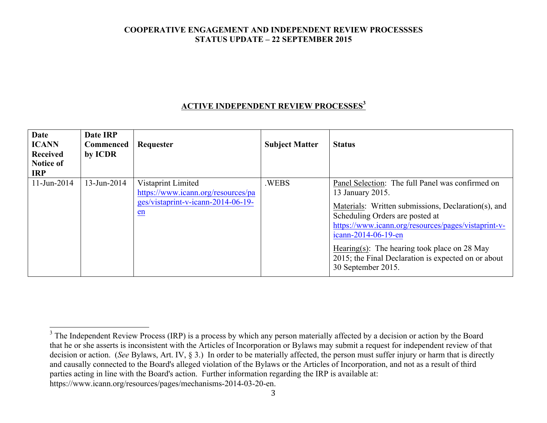## **ACTIVE INDEPENDENT REVIEW PROCESSES<sup>3</sup>**

| <b>Date</b><br><b>ICANN</b><br><b>Received</b><br><b>Notice of</b><br><b>IRP</b> | Date IRP<br>Commenced<br>by ICDR | Requester                                                                                            | <b>Subject Matter</b> | <b>Status</b>                                                                                                                                                                                                                                                                                                                                                             |
|----------------------------------------------------------------------------------|----------------------------------|------------------------------------------------------------------------------------------------------|-----------------------|---------------------------------------------------------------------------------------------------------------------------------------------------------------------------------------------------------------------------------------------------------------------------------------------------------------------------------------------------------------------------|
| 11-Jun-2014                                                                      | $13 - Jun-2014$                  | Vistaprint Limited<br>https://www.icann.org/resources/pa<br>ges/vistaprint-v-icann-2014-06-19-<br>en | .WEBS                 | Panel Selection: The full Panel was confirmed on<br>13 January 2015.<br>Materials: Written submissions, Declaration(s), and<br>Scheduling Orders are posted at<br>https://www.icann.org/resources/pages/vistaprint-v-<br>icann-2014-06-19-en<br>Hearing(s): The hearing took place on 28 May<br>2015; the Final Declaration is expected on or about<br>30 September 2015. |

https://www.icann.org/resources/pages/mechanisms-2014-03-20-en.

 $3$  The Independent Review Process (IRP) is a process by which any person materially affected by a decision or action by the Board that he or she asserts is inconsistent with the Articles of Incorporation or Bylaws may submit a request for independent review of that decision or action. (*See* Bylaws, Art. IV, § 3.) In order to be materially affected, the person must suffer injury or harm that is directly and causally connected to the Board's alleged violation of the Bylaws or the Articles of Incorporation, and not as a result of third parties acting in line with the Board's action. Further information regarding the IRP is available at: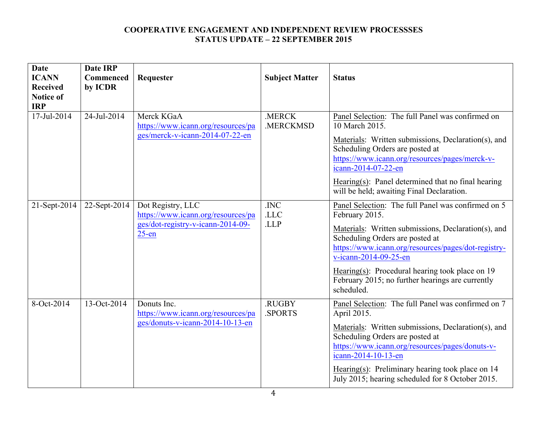| <b>Date</b>                    | <b>Date IRP</b> |                                                                                                          |                              |                                                                                                                                                                                                                                                                                                                                                                         |
|--------------------------------|-----------------|----------------------------------------------------------------------------------------------------------|------------------------------|-------------------------------------------------------------------------------------------------------------------------------------------------------------------------------------------------------------------------------------------------------------------------------------------------------------------------------------------------------------------------|
| <b>ICANN</b>                   | Commenced       | Requester                                                                                                | <b>Subject Matter</b>        | <b>Status</b>                                                                                                                                                                                                                                                                                                                                                           |
| <b>Received</b>                | by ICDR         |                                                                                                          |                              |                                                                                                                                                                                                                                                                                                                                                                         |
| <b>Notice of</b><br><b>IRP</b> |                 |                                                                                                          |                              |                                                                                                                                                                                                                                                                                                                                                                         |
| 17-Jul-2014                    | 24-Jul-2014     | Merck KGaA<br>https://www.icann.org/resources/pa<br>ges/merck-v-icann-2014-07-22-en                      | .MERCK<br>.MERCKMSD          | Panel Selection: The full Panel was confirmed on<br>10 March 2015.<br>Materials: Written submissions, Declaration(s), and<br>Scheduling Orders are posted at<br>https://www.icann.org/resources/pages/merck-v-<br>icann-2014-07-22-en<br>Hearing $(s)$ : Panel determined that no final hearing<br>will be held; awaiting Final Declaration.                            |
| 21-Sept-2014                   | 22-Sept-2014    | Dot Registry, LLC<br>https://www.icann.org/resources/pa<br>ges/dot-registry-v-icann-2014-09-<br>$25$ -en | .INC<br>$.$ LLC $\,$<br>.LLP | Panel Selection: The full Panel was confirmed on 5<br>February 2015.<br>Materials: Written submissions, Declaration(s), and<br>Scheduling Orders are posted at<br>https://www.icann.org/resources/pages/dot-registry-<br>v-icann-2014-09-25-en<br>Hearing $(s)$ : Procedural hearing took place on 19<br>February 2015; no further hearings are currently<br>scheduled. |
| 8-Oct-2014                     | 13-Oct-2014     | Donuts Inc.<br>https://www.icann.org/resources/pa<br>ges/donuts-v-icann-2014-10-13-en                    | .RUGBY<br>.SPORTS            | Panel Selection: The full Panel was confirmed on 7<br>April 2015.<br>Materials: Written submissions, Declaration(s), and<br>Scheduling Orders are posted at<br>https://www.icann.org/resources/pages/donuts-v-<br>icann-2014-10-13-en<br>Hearing(s): Preliminary hearing took place on $14$<br>July 2015; hearing scheduled for 8 October 2015.                         |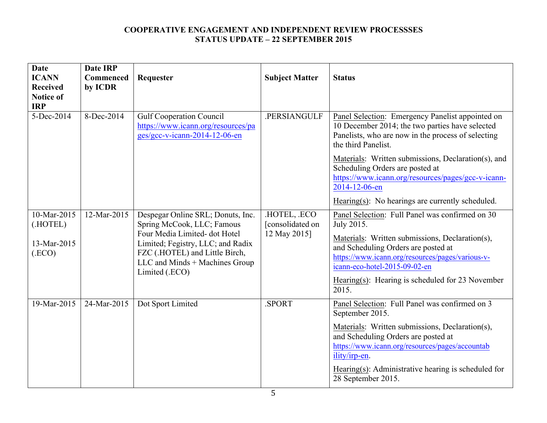| <b>Date</b><br><b>ICANN</b><br><b>Received</b><br><b>Notice of</b><br><b>IRP</b> | <b>Date IRP</b><br>Commenced<br>by ICDR | Requester                                                                                                                                                                                                                  | <b>Subject Matter</b>                          | <b>Status</b>                                                                                                                                                                                                                                                                                                |
|----------------------------------------------------------------------------------|-----------------------------------------|----------------------------------------------------------------------------------------------------------------------------------------------------------------------------------------------------------------------------|------------------------------------------------|--------------------------------------------------------------------------------------------------------------------------------------------------------------------------------------------------------------------------------------------------------------------------------------------------------------|
| 5-Dec-2014                                                                       | 8-Dec-2014                              | <b>Gulf Cooperation Council</b><br>https://www.icann.org/resources/pa<br>ges/gcc-v-icann-2014-12-06-en                                                                                                                     | .PERSIANGULF                                   | Panel Selection: Emergency Panelist appointed on<br>10 December 2014; the two parties have selected<br>Panelists, who are now in the process of selecting<br>the third Panelist.                                                                                                                             |
|                                                                                  |                                         |                                                                                                                                                                                                                            |                                                | Materials: Written submissions, Declaration(s), and<br>Scheduling Orders are posted at<br>https://www.icann.org/resources/pages/gcc-v-icann-<br>2014-12-06-en                                                                                                                                                |
|                                                                                  |                                         |                                                                                                                                                                                                                            |                                                | Hearing(s): No hearings are currently scheduled.                                                                                                                                                                                                                                                             |
| 10-Mar-2015<br>(.HOTEL)<br>13-Mar-2015<br>(ECO)                                  | 12-Mar-2015                             | Despegar Online SRL; Donuts, Inc.<br>Spring McCook, LLC; Famous<br>Four Media Limited-dot Hotel<br>Limited; Fegistry, LLC; and Radix<br>FZC (.HOTEL) and Little Birch,<br>LLC and Minds + Machines Group<br>Limited (.ECO) | HOTEL, ECO<br>[consolidated on<br>12 May 2015] | Panel Selection: Full Panel was confirmed on 30<br>July 2015.<br>Materials: Written submissions, Declaration(s),<br>and Scheduling Orders are posted at<br>https://www.icann.org/resources/pages/various-v-<br>icann-eco-hotel-2015-09-02-en<br>Hearing(s): Hearing is scheduled for 23 November<br>2015.    |
| $19$ -Mar-2015                                                                   | 24-Mar-2015                             | Dot Sport Limited                                                                                                                                                                                                          | .SPORT                                         | Panel Selection: Full Panel was confirmed on 3<br>September 2015.<br>Materials: Written submissions, Declaration(s),<br>and Scheduling Orders are posted at<br>https://www.icann.org/resources/pages/accountab<br>ility/irp-en.<br>Hearing(s): Administrative hearing is scheduled for<br>28 September 2015. |